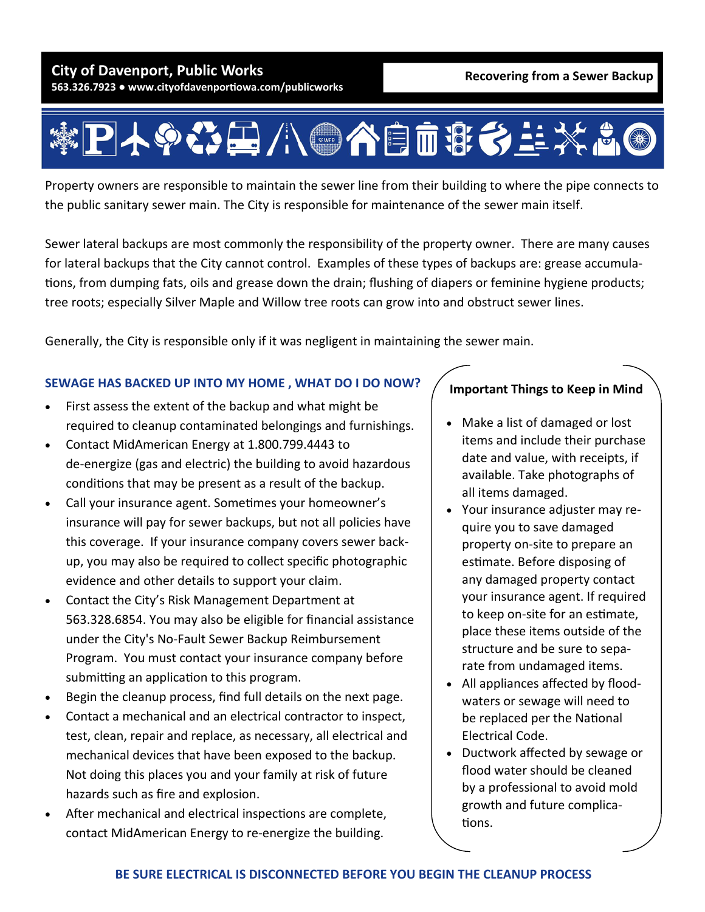

Property owners are responsible to maintain the sewer line from their building to where the pipe connects to the public sanitary sewer main. The City is responsible for maintenance of the sewer main itself.

Sewer lateral backups are most commonly the responsibility of the property owner. There are many causes for lateral backups that the City cannot control. Examples of these types of backups are: grease accumula‐ tions, from dumping fats, oils and grease down the drain; flushing of diapers or feminine hygiene products; tree roots; especially Silver Maple and Willow tree roots can grow into and obstruct sewer lines.

Generally, the City is responsible only if it was negligent in maintaining the sewer main.

## **SEWAGE HAS BACKED UP INTO MY HOME , WHAT DO I DO NOW?**

- First assess the extent of the backup and what might be required to cleanup contaminated belongings and furnishings.
- Contact MidAmerican Energy at 1.800.799.4443 to de‐energize (gas and electric) the building to avoid hazardous conditions that may be present as a result of the backup.
- Call your insurance agent. Sometimes your homeowner's insurance will pay for sewer backups, but not all policies have this coverage. If your insurance company covers sewer back‐ up, you may also be required to collect specific photographic evidence and other details to support your claim.
- Contact the City's Risk Management Department at 563.328.6854. You may also be eligible for financial assistance under the City's No‐Fault Sewer Backup Reimbursement Program. You must contact your insurance company before submitting an application to this program.
- Begin the cleanup process, find full details on the next page.
- Contact a mechanical and an electrical contractor to inspect, test, clean, repair and replace, as necessary, all electrical and mechanical devices that have been exposed to the backup. Not doing this places you and your family at risk of future hazards such as fire and explosion.
- After mechanical and electrical inspections are complete, contact MidAmerican Energy to re‐energize the building.

## **Important Things to Keep in Mind**

- Make a list of damaged or lost items and include their purchase date and value, with receipts, if available. Take photographs of all items damaged.
- Your insurance adjuster may require you to save damaged property on‐site to prepare an estimate. Before disposing of any damaged property contact your insurance agent. If required to keep on-site for an estimate, place these items outside of the structure and be sure to sepa‐ rate from undamaged items.
- All appliances affected by floodwaters or sewage will need to be replaced per the National Electrical Code.
- Ductwork affected by sewage or flood water should be cleaned by a professional to avoid mold growth and future complica‐ tions.